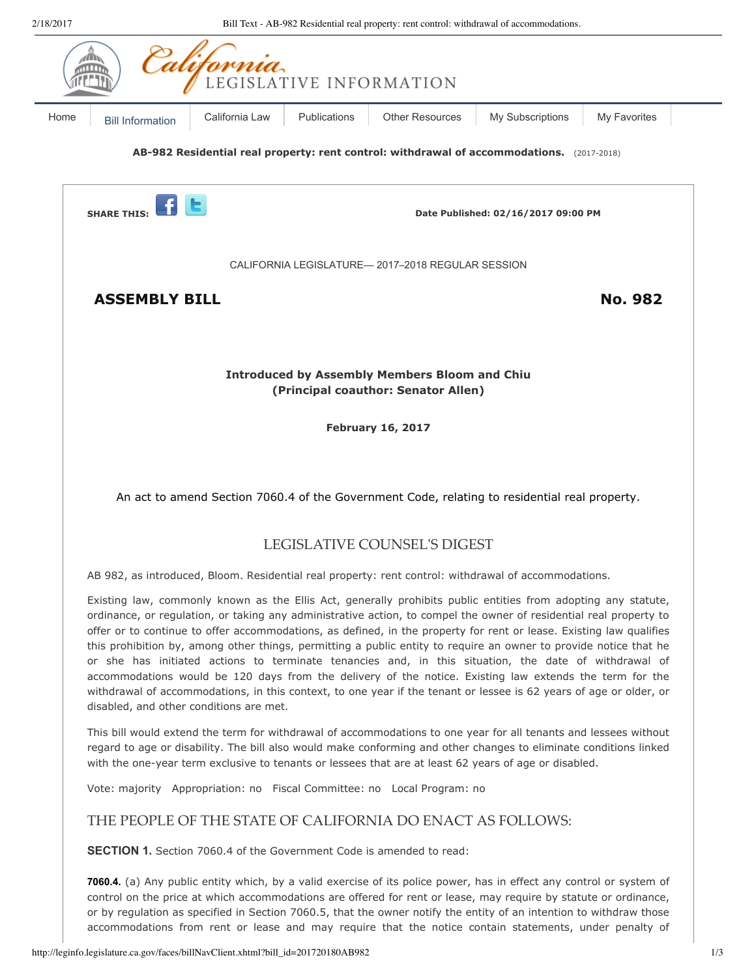| 2/18/2017 |                                                  | Bill Text - AB-982 Residential real property: rent control: withdrawal of accommodations.                                                                                                                                                                                                                                                                                                                                                                                                                                                                                                                                                                                                                                                                                                                                 |                                     |                  |                |  |
|-----------|--------------------------------------------------|---------------------------------------------------------------------------------------------------------------------------------------------------------------------------------------------------------------------------------------------------------------------------------------------------------------------------------------------------------------------------------------------------------------------------------------------------------------------------------------------------------------------------------------------------------------------------------------------------------------------------------------------------------------------------------------------------------------------------------------------------------------------------------------------------------------------------|-------------------------------------|------------------|----------------|--|
|           |                                                  | LEGISLATIVE INFORMATION                                                                                                                                                                                                                                                                                                                                                                                                                                                                                                                                                                                                                                                                                                                                                                                                   |                                     |                  |                |  |
| Home      | <b>Bill Information</b>                          | California Law<br>Publications                                                                                                                                                                                                                                                                                                                                                                                                                                                                                                                                                                                                                                                                                                                                                                                            | <b>Other Resources</b>              | My Subscriptions | My Favorites   |  |
|           |                                                  | AB-982 Residential real property: rent control: withdrawal of accommodations. (2017-2018)                                                                                                                                                                                                                                                                                                                                                                                                                                                                                                                                                                                                                                                                                                                                 |                                     |                  |                |  |
|           | <b>SHARE THIS:</b>                               |                                                                                                                                                                                                                                                                                                                                                                                                                                                                                                                                                                                                                                                                                                                                                                                                                           | Date Published: 02/16/2017 09:00 PM |                  |                |  |
|           | CALIFORNIA LEGISLATURE-2017-2018 REGULAR SESSION |                                                                                                                                                                                                                                                                                                                                                                                                                                                                                                                                                                                                                                                                                                                                                                                                                           |                                     |                  |                |  |
|           | <b>ASSEMBLY BILL</b>                             |                                                                                                                                                                                                                                                                                                                                                                                                                                                                                                                                                                                                                                                                                                                                                                                                                           |                                     |                  | <b>No. 982</b> |  |
|           |                                                  |                                                                                                                                                                                                                                                                                                                                                                                                                                                                                                                                                                                                                                                                                                                                                                                                                           |                                     |                  |                |  |
|           |                                                  | <b>Introduced by Assembly Members Bloom and Chiu</b>                                                                                                                                                                                                                                                                                                                                                                                                                                                                                                                                                                                                                                                                                                                                                                      |                                     |                  |                |  |
|           |                                                  | (Principal coauthor: Senator Allen)                                                                                                                                                                                                                                                                                                                                                                                                                                                                                                                                                                                                                                                                                                                                                                                       |                                     |                  |                |  |
|           | <b>February 16, 2017</b>                         |                                                                                                                                                                                                                                                                                                                                                                                                                                                                                                                                                                                                                                                                                                                                                                                                                           |                                     |                  |                |  |
|           |                                                  | An act to amend Section 7060.4 of the Government Code, relating to residential real property.                                                                                                                                                                                                                                                                                                                                                                                                                                                                                                                                                                                                                                                                                                                             |                                     |                  |                |  |
|           |                                                  |                                                                                                                                                                                                                                                                                                                                                                                                                                                                                                                                                                                                                                                                                                                                                                                                                           | LEGISLATIVE COUNSEL'S DIGEST        |                  |                |  |
|           |                                                  | AB 982, as introduced, Bloom. Residential real property: rent control: withdrawal of accommodations.                                                                                                                                                                                                                                                                                                                                                                                                                                                                                                                                                                                                                                                                                                                      |                                     |                  |                |  |
|           | disabled, and other conditions are met.          | Existing law, commonly known as the Ellis Act, generally prohibits public entities from adopting any statute,<br>ordinance, or regulation, or taking any administrative action, to compel the owner of residential real property to<br>offer or to continue to offer accommodations, as defined, in the property for rent or lease. Existing law qualifies<br>this prohibition by, among other things, permitting a public entity to require an owner to provide notice that he<br>or she has initiated actions to terminate tenancies and, in this situation, the date of withdrawal of<br>accommodations would be 120 days from the delivery of the notice. Existing law extends the term for the<br>withdrawal of accommodations, in this context, to one year if the tenant or lessee is 62 years of age or older, or |                                     |                  |                |  |
|           |                                                  | This bill would extend the term for withdrawal of accommodations to one year for all tenants and lessees without<br>regard to age or disability. The bill also would make conforming and other changes to eliminate conditions linked<br>with the one-year term exclusive to tenants or lessees that are at least 62 years of age or disabled.                                                                                                                                                                                                                                                                                                                                                                                                                                                                            |                                     |                  |                |  |
|           |                                                  | Vote: majority Appropriation: no Fiscal Committee: no Local Program: no                                                                                                                                                                                                                                                                                                                                                                                                                                                                                                                                                                                                                                                                                                                                                   |                                     |                  |                |  |
|           |                                                  | THE PEOPLE OF THE STATE OF CALIFORNIA DO ENACT AS FOLLOWS:                                                                                                                                                                                                                                                                                                                                                                                                                                                                                                                                                                                                                                                                                                                                                                |                                     |                  |                |  |
|           |                                                  | <b>SECTION 1.</b> Section 7060.4 of the Government Code is amended to read:                                                                                                                                                                                                                                                                                                                                                                                                                                                                                                                                                                                                                                                                                                                                               |                                     |                  |                |  |
|           |                                                  | 7060.4. (a) Any public entity which, by a valid exercise of its police power, has in effect any control or system of                                                                                                                                                                                                                                                                                                                                                                                                                                                                                                                                                                                                                                                                                                      |                                     |                  |                |  |

control on the price at which accommodations are offered for rent or lease, may require by statute or ordinance, or by regulation as specified in Section 7060.5, that the owner notify the entity of an intention to withdraw those accommodations from rent or lease and may require that the notice contain statements, under penalty of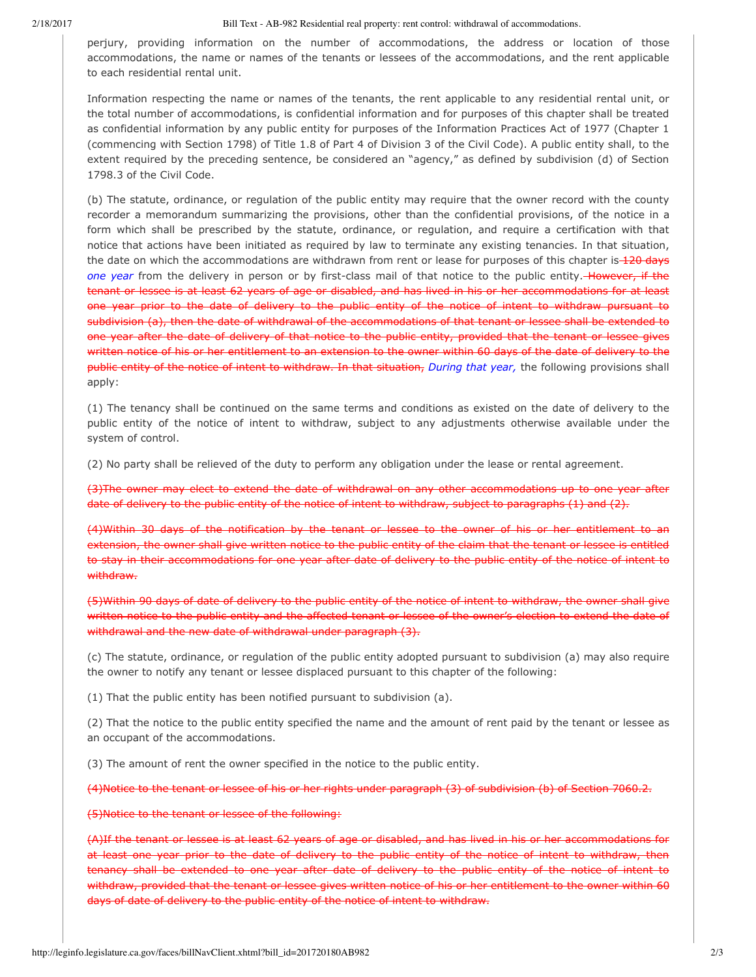2/18/2017 Bill Text - AB-982 Residential real property: rent control: withdrawal of accommodations.

perjury, providing information on the number of accommodations, the address or location of those accommodations, the name or names of the tenants or lessees of the accommodations, and the rent applicable to each residential rental unit.

Information respecting the name or names of the tenants, the rent applicable to any residential rental unit, or the total number of accommodations, is confidential information and for purposes of this chapter shall be treated as confidential information by any public entity for purposes of the Information Practices Act of 1977 (Chapter 1 (commencing with Section 1798) of Title 1.8 of Part 4 of Division 3 of the Civil Code). A public entity shall, to the extent required by the preceding sentence, be considered an "agency," as defined by subdivision (d) of Section 1798.3 of the Civil Code.

(b) The statute, ordinance, or regulation of the public entity may require that the owner record with the county recorder a memorandum summarizing the provisions, other than the confidential provisions, of the notice in a form which shall be prescribed by the statute, ordinance, or regulation, and require a certification with that notice that actions have been initiated as required by law to terminate any existing tenancies. In that situation, the date on which the accommodations are withdrawn from rent or lease for purposes of this chapter is 120 days *one* year from the delivery in person or by first-class mail of that notice to the public entity. However, if the tenant or lessee is at least 62 years of age or disabled, and has lived in his or her accommodations for at least one year prior to the date of delivery to the public entity of the notice of intent to withdraw pursuant to subdivision (a), then the date of withdrawal of the accommodations of that tenant or lessee shall be extended to one year after the date of delivery of that notice to the public entity, provided that the tenant or lessee gives written notice of his or her entitlement to an extension to the owner within 60 days of the date of delivery to the public entity of the notice of intent to withdraw. In that situation, *During that year,* the following provisions shall apply:

(1) The tenancy shall be continued on the same terms and conditions as existed on the date of delivery to the public entity of the notice of intent to withdraw, subject to any adjustments otherwise available under the system of control.

(2) No party shall be relieved of the duty to perform any obligation under the lease or rental agreement.

(3)The owner may elect to extend the date of withdrawal on any other accommodations up to one year after date of delivery to the public entity of the notice of intent to withdraw, subject to paragraphs (1) and (2).

(4)Within 30 days of the notification by the tenant or lessee to the owner of his or her entitlement to an extension, the owner shall give written notice to the public entity of the claim that the tenant or lessee is entitled to stay in their accommodations for one year after date of delivery to the public entity of the notice of intent to withdraw.

(5)Within 90 days of date of delivery to the public entity of the notice of intent to withdraw, the owner shall give written notice to the public entity and the affected tenant or lessee of the owner's election to extend the date of withdrawal and the new date of withdrawal under paragraph (3).

(c) The statute, ordinance, or regulation of the public entity adopted pursuant to subdivision (a) may also require the owner to notify any tenant or lessee displaced pursuant to this chapter of the following:

(1) That the public entity has been notified pursuant to subdivision (a).

(2) That the notice to the public entity specified the name and the amount of rent paid by the tenant or lessee as an occupant of the accommodations.

(3) The amount of rent the owner specified in the notice to the public entity.

(4)Notice to the tenant or lessee of his or her rights under paragraph (3) of subdivision (b) of Section 7060.2.

(5)Notice to the tenant or lessee of the following:

(A)If the tenant or lessee is at least 62 years of age or disabled, and has lived in his or her accommodations for at least one year prior to the date of delivery to the public entity of the notice of intent to withdraw, then tenancy shall be extended to one year after date of delivery to the public entity of the notice of intent to withdraw, provided that the tenant or lessee gives written notice of his or her entitlement to the owner within 60 days of date of delivery to the public entity of the notice of intent to withdraw.